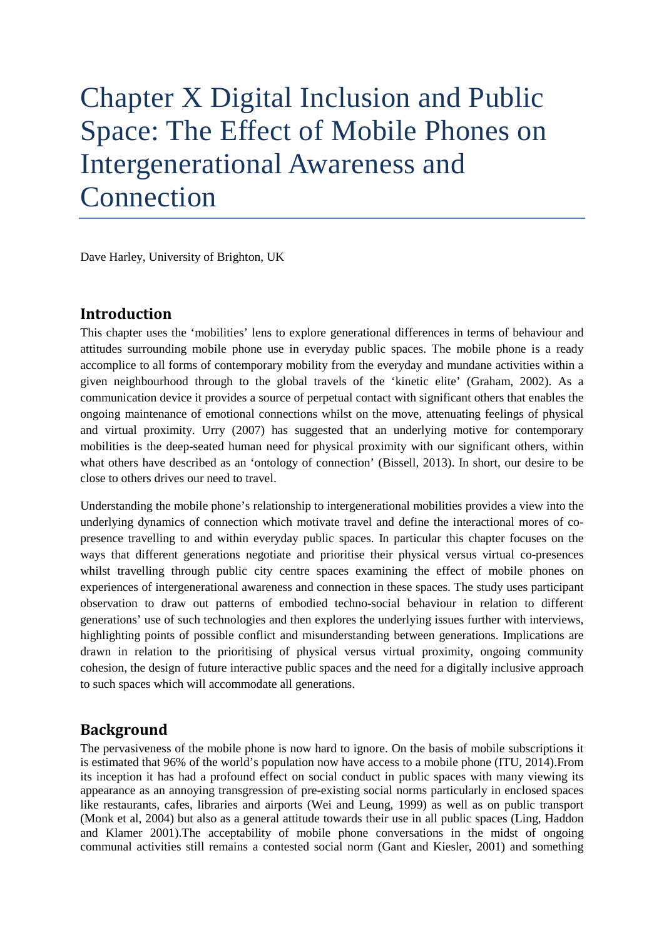# Chapter X Digital Inclusion and Public Space: The Effect of Mobile Phones on Intergenerational Awareness and Connection

Dave Harley, University of Brighton, UK

# **Introduction**

This chapter uses the 'mobilities' lens to explore generational differences in terms of behaviour and attitudes surrounding mobile phone use in everyday public spaces. The mobile phone is a ready accomplice to all forms of contemporary mobility from the everyday and mundane activities within a given neighbourhood through to the global travels of the 'kinetic elite' (Graham, 2002). As a communication device it provides a source of perpetual contact with significant others that enables the ongoing maintenance of emotional connections whilst on the move, attenuating feelings of physical and virtual proximity. Urry (2007) has suggested that an underlying motive for contemporary mobilities is the deep-seated human need for physical proximity with our significant others, within what others have described as an 'ontology of connection' (Bissell, 2013). In short, our desire to be close to others drives our need to travel.

Understanding the mobile phone's relationship to intergenerational mobilities provides a view into the underlying dynamics of connection which motivate travel and define the interactional mores of copresence travelling to and within everyday public spaces. In particular this chapter focuses on the ways that different generations negotiate and prioritise their physical versus virtual co-presences whilst travelling through public city centre spaces examining the effect of mobile phones on experiences of intergenerational awareness and connection in these spaces. The study uses participant observation to draw out patterns of embodied techno-social behaviour in relation to different generations' use of such technologies and then explores the underlying issues further with interviews, highlighting points of possible conflict and misunderstanding between generations. Implications are drawn in relation to the prioritising of physical versus virtual proximity, ongoing community cohesion, the design of future interactive public spaces and the need for a digitally inclusive approach to such spaces which will accommodate all generations.

# **Background**

The pervasiveness of the mobile phone is now hard to ignore. On the basis of mobile subscriptions it is estimated that 96% of the world's population now have access to a mobile phone (ITU, 2014).From its inception it has had a profound effect on social conduct in public spaces with many viewing its appearance as an annoying transgression of pre-existing social norms particularly in enclosed spaces like restaurants, cafes, libraries and airports (Wei and Leung, 1999) as well as on public transport (Monk et al, 2004) but also as a general attitude towards their use in all public spaces (Ling, Haddon and Klamer 2001).The acceptability of mobile phone conversations in the midst of ongoing communal activities still remains a contested social norm (Gant and Kiesler, 2001) and something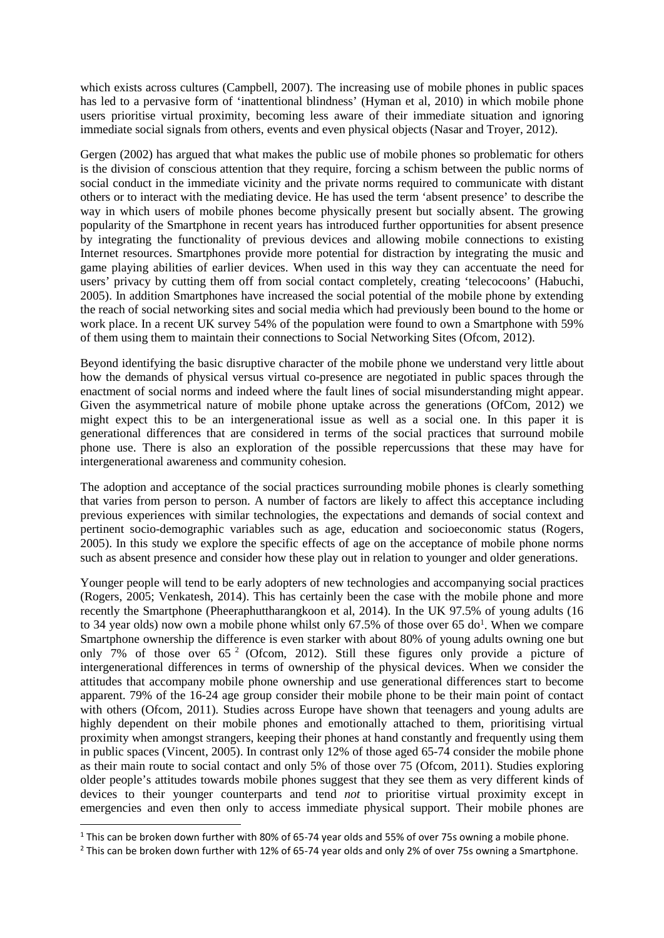which exists across cultures (Campbell, 2007). The increasing use of mobile phones in public spaces has led to a pervasive form of 'inattentional blindness' (Hyman et al, 2010) in which mobile phone users prioritise virtual proximity, becoming less aware of their immediate situation and ignoring immediate social signals from others, events and even physical objects (Nasar and Troyer, 2012).

Gergen (2002) has argued that what makes the public use of mobile phones so problematic for others is the division of conscious attention that they require, forcing a schism between the public norms of social conduct in the immediate vicinity and the private norms required to communicate with distant others or to interact with the mediating device. He has used the term 'absent presence' to describe the way in which users of mobile phones become physically present but socially absent. The growing popularity of the Smartphone in recent years has introduced further opportunities for absent presence by integrating the functionality of previous devices and allowing mobile connections to existing Internet resources. Smartphones provide more potential for distraction by integrating the music and game playing abilities of earlier devices. When used in this way they can accentuate the need for users' privacy by cutting them off from social contact completely, creating 'telecocoons' (Habuchi, 2005). In addition Smartphones have increased the social potential of the mobile phone by extending the reach of social networking sites and social media which had previously been bound to the home or work place. In a recent UK survey 54% of the population were found to own a Smartphone with 59% of them using them to maintain their connections to Social Networking Sites (Ofcom, 2012).

Beyond identifying the basic disruptive character of the mobile phone we understand very little about how the demands of physical versus virtual co-presence are negotiated in public spaces through the enactment of social norms and indeed where the fault lines of social misunderstanding might appear. Given the asymmetrical nature of mobile phone uptake across the generations (OfCom, 2012) we might expect this to be an intergenerational issue as well as a social one. In this paper it is generational differences that are considered in terms of the social practices that surround mobile phone use. There is also an exploration of the possible repercussions that these may have for intergenerational awareness and community cohesion.

The adoption and acceptance of the social practices surrounding mobile phones is clearly something that varies from person to person. A number of factors are likely to affect this acceptance including previous experiences with similar technologies, the expectations and demands of social context and pertinent socio-demographic variables such as age, education and socioeconomic status (Rogers, 2005). In this study we explore the specific effects of age on the acceptance of mobile phone norms such as absent presence and consider how these play out in relation to younger and older generations.

Younger people will tend to be early adopters of new technologies and accompanying social practices (Rogers, 2005; Venkatesh, 2014). This has certainly been the case with the mobile phone and more recently the Smartphone (Pheeraphuttharangkoon et al, 2014). In the UK 97.5% of young adults (16 to 34 year olds) now own a mobile phone whilst only  $67.5\%$  of those over  $65$  do<sup>[1](#page-1-0)</sup>. When we compare Smartphone ownership the difference is even starker with about 80% of young adults owning one but only  $\bar{7}\%$  of those over 65<sup>[2](#page-1-1)</sup> (Ofcom, 2012). Still these figures only provide a picture of intergenerational differences in terms of ownership of the physical devices. When we consider the attitudes that accompany mobile phone ownership and use generational differences start to become apparent. 79% of the 16-24 age group consider their mobile phone to be their main point of contact with others (Ofcom, 2011). Studies across Europe have shown that teenagers and young adults are highly dependent on their mobile phones and emotionally attached to them, prioritising virtual proximity when amongst strangers, keeping their phones at hand constantly and frequently using them in public spaces (Vincent, 2005). In contrast only 12% of those aged 65-74 consider the mobile phone as their main route to social contact and only 5% of those over 75 (Ofcom, 2011). Studies exploring older people's attitudes towards mobile phones suggest that they see them as very different kinds of devices to their younger counterparts and tend *not* to prioritise virtual proximity except in emergencies and even then only to access immediate physical support. Their mobile phones are

<span id="page-1-0"></span><sup>&</sup>lt;sup>1</sup> This can be broken down further with 80% of 65-74 year olds and 55% of over 75s owning a mobile phone.

<span id="page-1-1"></span><sup>&</sup>lt;sup>2</sup> This can be broken down further with 12% of 65-74 year olds and only 2% of over 75s owning a Smartphone.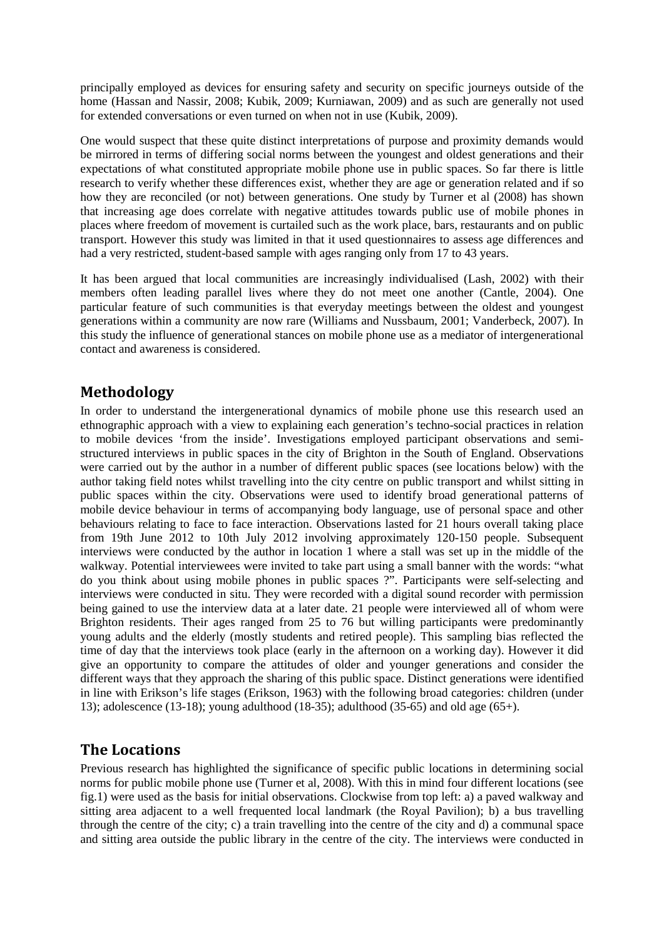principally employed as devices for ensuring safety and security on specific journeys outside of the home (Hassan and Nassir, 2008; Kubik, 2009; Kurniawan, 2009) and as such are generally not used for extended conversations or even turned on when not in use (Kubik, 2009).

One would suspect that these quite distinct interpretations of purpose and proximity demands would be mirrored in terms of differing social norms between the youngest and oldest generations and their expectations of what constituted appropriate mobile phone use in public spaces. So far there is little research to verify whether these differences exist, whether they are age or generation related and if so how they are reconciled (or not) between generations. One study by Turner et al (2008) has shown that increasing age does correlate with negative attitudes towards public use of mobile phones in places where freedom of movement is curtailed such as the work place, bars, restaurants and on public transport. However this study was limited in that it used questionnaires to assess age differences and had a very restricted, student-based sample with ages ranging only from 17 to 43 years.

It has been argued that local communities are increasingly individualised (Lash, 2002) with their members often leading parallel lives where they do not meet one another (Cantle, 2004). One particular feature of such communities is that everyday meetings between the oldest and youngest generations within a community are now rare (Williams and Nussbaum, 2001; Vanderbeck, 2007). In this study the influence of generational stances on mobile phone use as a mediator of intergenerational contact and awareness is considered.

# **Methodology**

In order to understand the intergenerational dynamics of mobile phone use this research used an ethnographic approach with a view to explaining each generation's techno-social practices in relation to mobile devices 'from the inside'. Investigations employed participant observations and semistructured interviews in public spaces in the city of Brighton in the South of England. Observations were carried out by the author in a number of different public spaces (see locations below) with the author taking field notes whilst travelling into the city centre on public transport and whilst sitting in public spaces within the city. Observations were used to identify broad generational patterns of mobile device behaviour in terms of accompanying body language, use of personal space and other behaviours relating to face to face interaction. Observations lasted for 21 hours overall taking place from 19th June 2012 to 10th July 2012 involving approximately 120-150 people. Subsequent interviews were conducted by the author in location 1 where a stall was set up in the middle of the walkway. Potential interviewees were invited to take part using a small banner with the words: "what do you think about using mobile phones in public spaces ?". Participants were self-selecting and interviews were conducted in situ. They were recorded with a digital sound recorder with permission being gained to use the interview data at a later date. 21 people were interviewed all of whom were Brighton residents. Their ages ranged from 25 to 76 but willing participants were predominantly young adults and the elderly (mostly students and retired people). This sampling bias reflected the time of day that the interviews took place (early in the afternoon on a working day). However it did give an opportunity to compare the attitudes of older and younger generations and consider the different ways that they approach the sharing of this public space. Distinct generations were identified in line with Erikson's life stages (Erikson, 1963) with the following broad categories: children (under 13); adolescence (13-18); young adulthood (18-35); adulthood (35-65) and old age (65+).

## **The Locations**

Previous research has highlighted the significance of specific public locations in determining social norms for public mobile phone use (Turner et al, 2008). With this in mind four different locations (see fig.1) were used as the basis for initial observations. Clockwise from top left: a) a paved walkway and sitting area adjacent to a well frequented local landmark (the Royal Pavilion); b) a bus travelling through the centre of the city; c) a train travelling into the centre of the city and d) a communal space and sitting area outside the public library in the centre of the city. The interviews were conducted in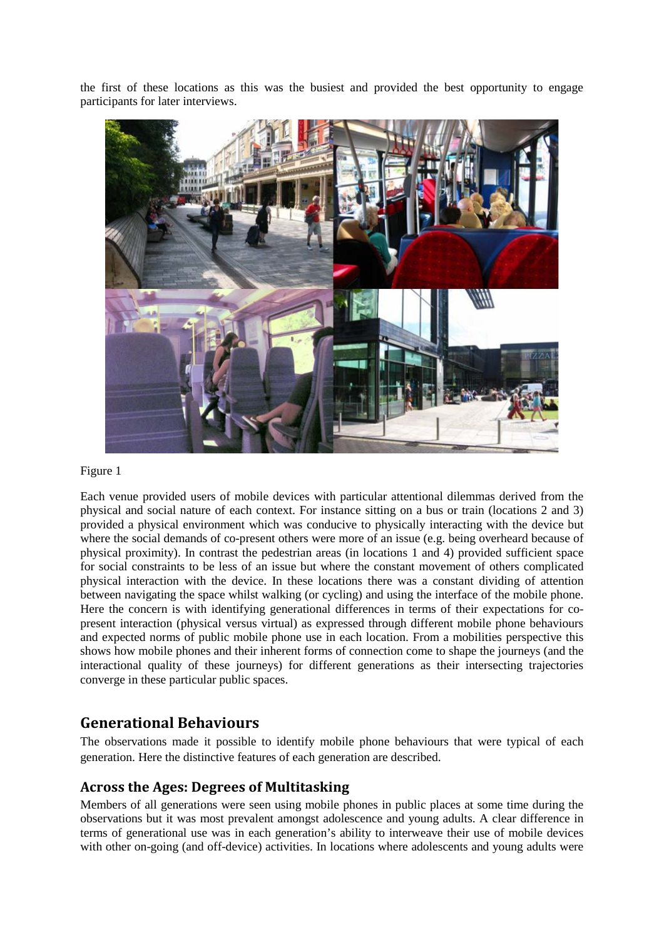the first of these locations as this was the busiest and provided the best opportunity to engage participants for later interviews.



#### Figure 1

Each venue provided users of mobile devices with particular attentional dilemmas derived from the physical and social nature of each context. For instance sitting on a bus or train (locations 2 and 3) provided a physical environment which was conducive to physically interacting with the device but where the social demands of co-present others were more of an issue (e.g. being overheard because of physical proximity). In contrast the pedestrian areas (in locations 1 and 4) provided sufficient space for social constraints to be less of an issue but where the constant movement of others complicated physical interaction with the device. In these locations there was a constant dividing of attention between navigating the space whilst walking (or cycling) and using the interface of the mobile phone. Here the concern is with identifying generational differences in terms of their expectations for copresent interaction (physical versus virtual) as expressed through different mobile phone behaviours and expected norms of public mobile phone use in each location. From a mobilities perspective this shows how mobile phones and their inherent forms of connection come to shape the journeys (and the interactional quality of these journeys) for different generations as their intersecting trajectories converge in these particular public spaces.

## **Generational Behaviours**

The observations made it possible to identify mobile phone behaviours that were typical of each generation. Here the distinctive features of each generation are described.

#### **Across the Ages: Degrees of Multitasking**

Members of all generations were seen using mobile phones in public places at some time during the observations but it was most prevalent amongst adolescence and young adults. A clear difference in terms of generational use was in each generation's ability to interweave their use of mobile devices with other on-going (and off-device) activities. In locations where adolescents and young adults were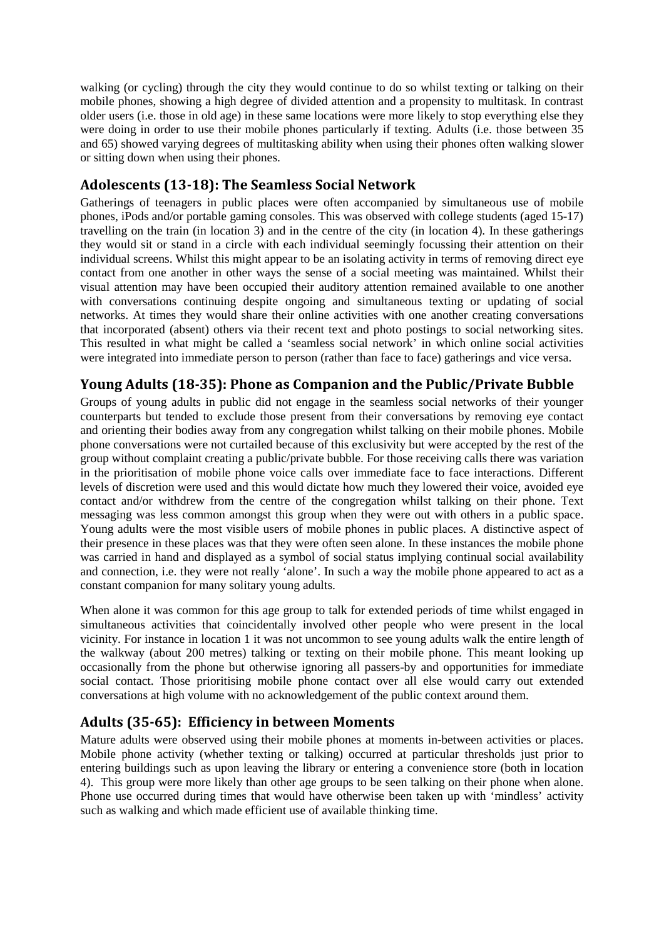walking (or cycling) through the city they would continue to do so whilst texting or talking on their mobile phones, showing a high degree of divided attention and a propensity to multitask. In contrast older users (i.e. those in old age) in these same locations were more likely to stop everything else they were doing in order to use their mobile phones particularly if texting. Adults (i.e. those between 35 and 65) showed varying degrees of multitasking ability when using their phones often walking slower or sitting down when using their phones.

#### **Adolescents (13-18): The Seamless Social Network**

Gatherings of teenagers in public places were often accompanied by simultaneous use of mobile phones, iPods and/or portable gaming consoles. This was observed with college students (aged 15-17) travelling on the train (in location 3) and in the centre of the city (in location 4). In these gatherings they would sit or stand in a circle with each individual seemingly focussing their attention on their individual screens. Whilst this might appear to be an isolating activity in terms of removing direct eye contact from one another in other ways the sense of a social meeting was maintained. Whilst their visual attention may have been occupied their auditory attention remained available to one another with conversations continuing despite ongoing and simultaneous texting or updating of social networks. At times they would share their online activities with one another creating conversations that incorporated (absent) others via their recent text and photo postings to social networking sites. This resulted in what might be called a 'seamless social network' in which online social activities were integrated into immediate person to person (rather than face to face) gatherings and vice versa.

# **Young Adults (18-35): Phone as Companion and the Public/Private Bubble**

Groups of young adults in public did not engage in the seamless social networks of their younger counterparts but tended to exclude those present from their conversations by removing eye contact and orienting their bodies away from any congregation whilst talking on their mobile phones. Mobile phone conversations were not curtailed because of this exclusivity but were accepted by the rest of the group without complaint creating a public/private bubble. For those receiving calls there was variation in the prioritisation of mobile phone voice calls over immediate face to face interactions. Different levels of discretion were used and this would dictate how much they lowered their voice, avoided eye contact and/or withdrew from the centre of the congregation whilst talking on their phone. Text messaging was less common amongst this group when they were out with others in a public space. Young adults were the most visible users of mobile phones in public places. A distinctive aspect of their presence in these places was that they were often seen alone. In these instances the mobile phone was carried in hand and displayed as a symbol of social status implying continual social availability and connection, i.e. they were not really 'alone'. In such a way the mobile phone appeared to act as a constant companion for many solitary young adults.

When alone it was common for this age group to talk for extended periods of time whilst engaged in simultaneous activities that coincidentally involved other people who were present in the local vicinity. For instance in location 1 it was not uncommon to see young adults walk the entire length of the walkway (about 200 metres) talking or texting on their mobile phone. This meant looking up occasionally from the phone but otherwise ignoring all passers-by and opportunities for immediate social contact. Those prioritising mobile phone contact over all else would carry out extended conversations at high volume with no acknowledgement of the public context around them.

## **Adults (35-65): Efficiency in between Moments**

Mature adults were observed using their mobile phones at moments in-between activities or places. Mobile phone activity (whether texting or talking) occurred at particular thresholds just prior to entering buildings such as upon leaving the library or entering a convenience store (both in location 4). This group were more likely than other age groups to be seen talking on their phone when alone. Phone use occurred during times that would have otherwise been taken up with 'mindless' activity such as walking and which made efficient use of available thinking time.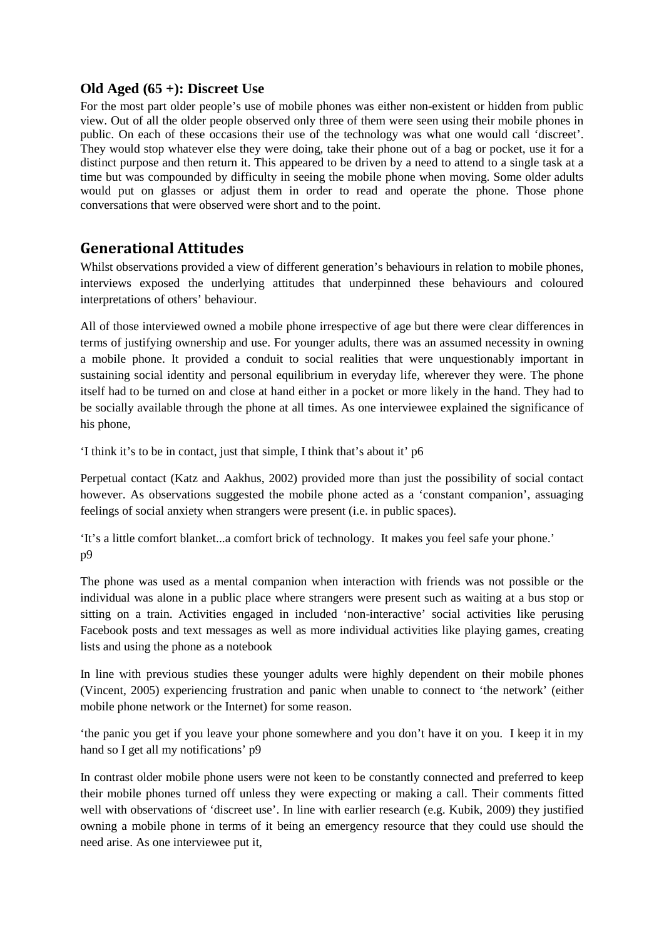#### **Old Aged (65 +): Discreet Use**

For the most part older people's use of mobile phones was either non-existent or hidden from public view. Out of all the older people observed only three of them were seen using their mobile phones in public. On each of these occasions their use of the technology was what one would call 'discreet'. They would stop whatever else they were doing, take their phone out of a bag or pocket, use it for a distinct purpose and then return it. This appeared to be driven by a need to attend to a single task at a time but was compounded by difficulty in seeing the mobile phone when moving. Some older adults would put on glasses or adjust them in order to read and operate the phone. Those phone conversations that were observed were short and to the point.

# **Generational Attitudes**

Whilst observations provided a view of different generation's behaviours in relation to mobile phones, interviews exposed the underlying attitudes that underpinned these behaviours and coloured interpretations of others' behaviour.

All of those interviewed owned a mobile phone irrespective of age but there were clear differences in terms of justifying ownership and use. For younger adults, there was an assumed necessity in owning a mobile phone. It provided a conduit to social realities that were unquestionably important in sustaining social identity and personal equilibrium in everyday life, wherever they were. The phone itself had to be turned on and close at hand either in a pocket or more likely in the hand. They had to be socially available through the phone at all times. As one interviewee explained the significance of his phone,

'I think it's to be in contact, just that simple, I think that's about it' p6

Perpetual contact (Katz and Aakhus, 2002) provided more than just the possibility of social contact however. As observations suggested the mobile phone acted as a 'constant companion', assuaging feelings of social anxiety when strangers were present (i.e. in public spaces).

'It's a little comfort blanket...a comfort brick of technology. It makes you feel safe your phone.' p9

The phone was used as a mental companion when interaction with friends was not possible or the individual was alone in a public place where strangers were present such as waiting at a bus stop or sitting on a train. Activities engaged in included 'non-interactive' social activities like perusing Facebook posts and text messages as well as more individual activities like playing games, creating lists and using the phone as a notebook

In line with previous studies these younger adults were highly dependent on their mobile phones (Vincent, 2005) experiencing frustration and panic when unable to connect to 'the network' (either mobile phone network or the Internet) for some reason.

'the panic you get if you leave your phone somewhere and you don't have it on you. I keep it in my hand so I get all my notifications' p9

In contrast older mobile phone users were not keen to be constantly connected and preferred to keep their mobile phones turned off unless they were expecting or making a call. Their comments fitted well with observations of 'discreet use'. In line with earlier research (e.g. Kubik, 2009) they justified owning a mobile phone in terms of it being an emergency resource that they could use should the need arise. As one interviewee put it,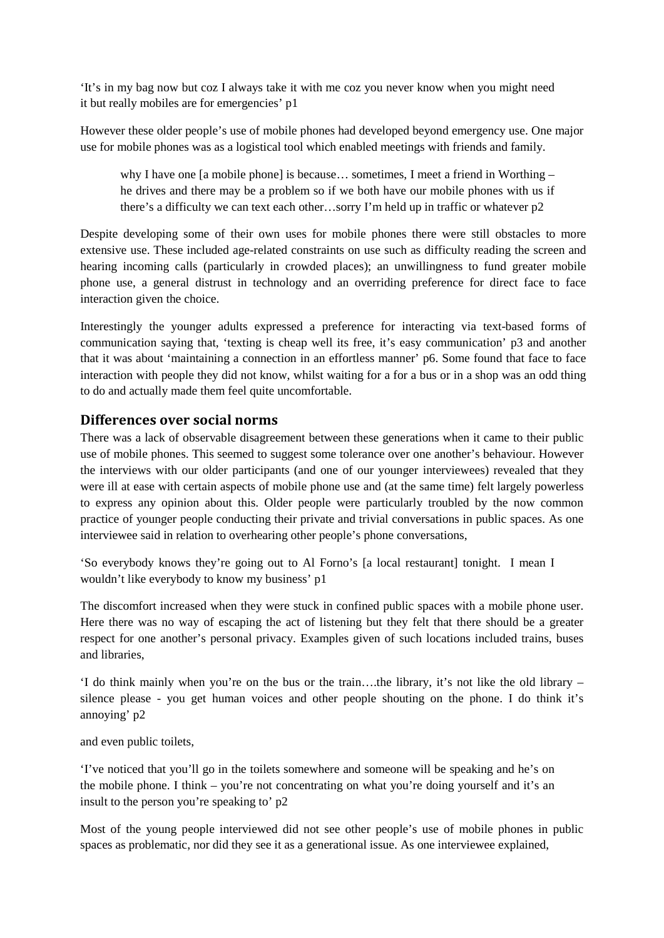'It's in my bag now but coz I always take it with me coz you never know when you might need it but really mobiles are for emergencies' p1

However these older people's use of mobile phones had developed beyond emergency use. One major use for mobile phones was as a logistical tool which enabled meetings with friends and family.

why I have one [a mobile phone] is because… sometimes, I meet a friend in Worthing – he drives and there may be a problem so if we both have our mobile phones with us if there's a difficulty we can text each other…sorry I'm held up in traffic or whatever p2

Despite developing some of their own uses for mobile phones there were still obstacles to more extensive use. These included age-related constraints on use such as difficulty reading the screen and hearing incoming calls (particularly in crowded places); an unwillingness to fund greater mobile phone use, a general distrust in technology and an overriding preference for direct face to face interaction given the choice.

Interestingly the younger adults expressed a preference for interacting via text-based forms of communication saying that, 'texting is cheap well its free, it's easy communication' p3 and another that it was about 'maintaining a connection in an effortless manner' p6. Some found that face to face interaction with people they did not know, whilst waiting for a for a bus or in a shop was an odd thing to do and actually made them feel quite uncomfortable.

#### **Differences over social norms**

There was a lack of observable disagreement between these generations when it came to their public use of mobile phones. This seemed to suggest some tolerance over one another's behaviour. However the interviews with our older participants (and one of our younger interviewees) revealed that they were ill at ease with certain aspects of mobile phone use and (at the same time) felt largely powerless to express any opinion about this. Older people were particularly troubled by the now common practice of younger people conducting their private and trivial conversations in public spaces. As one interviewee said in relation to overhearing other people's phone conversations,

'So everybody knows they're going out to Al Forno's [a local restaurant] tonight. I mean I wouldn't like everybody to know my business' p1

The discomfort increased when they were stuck in confined public spaces with a mobile phone user. Here there was no way of escaping the act of listening but they felt that there should be a greater respect for one another's personal privacy. Examples given of such locations included trains, buses and libraries,

'I do think mainly when you're on the bus or the train….the library, it's not like the old library – silence please - you get human voices and other people shouting on the phone. I do think it's annoying' p2

and even public toilets,

'I've noticed that you'll go in the toilets somewhere and someone will be speaking and he's on the mobile phone. I think – you're not concentrating on what you're doing yourself and it's an insult to the person you're speaking to' p2

Most of the young people interviewed did not see other people's use of mobile phones in public spaces as problematic, nor did they see it as a generational issue. As one interviewee explained,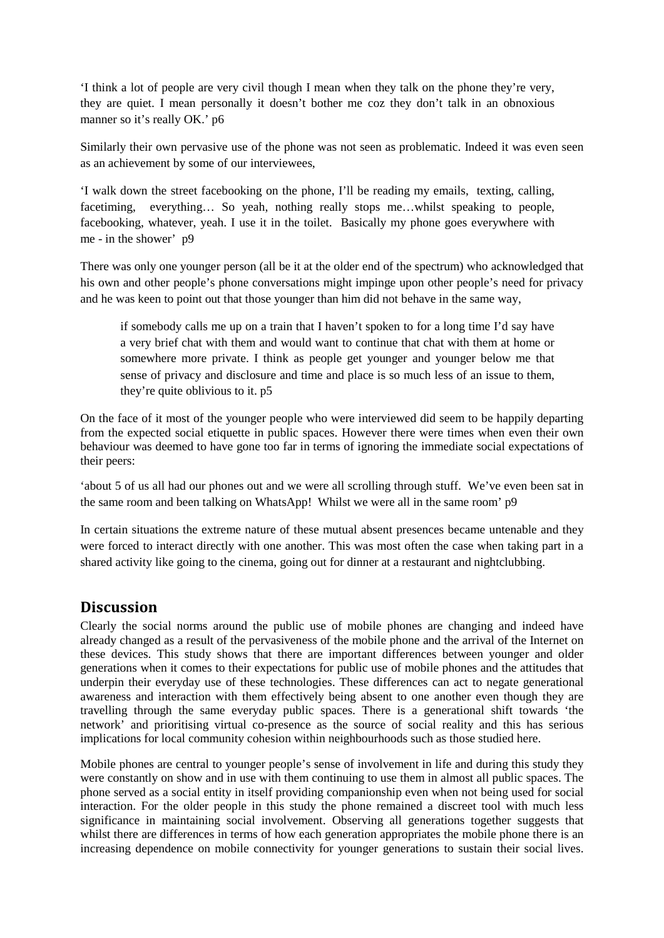'I think a lot of people are very civil though I mean when they talk on the phone they're very, they are quiet. I mean personally it doesn't bother me coz they don't talk in an obnoxious manner so it's really OK.' p6

Similarly their own pervasive use of the phone was not seen as problematic. Indeed it was even seen as an achievement by some of our interviewees,

'I walk down the street facebooking on the phone, I'll be reading my emails, texting, calling, facetiming, everything… So yeah, nothing really stops me…whilst speaking to people, facebooking, whatever, yeah. I use it in the toilet. Basically my phone goes everywhere with me - in the shower' p9

There was only one younger person (all be it at the older end of the spectrum) who acknowledged that his own and other people's phone conversations might impinge upon other people's need for privacy and he was keen to point out that those younger than him did not behave in the same way,

if somebody calls me up on a train that I haven't spoken to for a long time I'd say have a very brief chat with them and would want to continue that chat with them at home or somewhere more private. I think as people get younger and younger below me that sense of privacy and disclosure and time and place is so much less of an issue to them, they're quite oblivious to it. p5

On the face of it most of the younger people who were interviewed did seem to be happily departing from the expected social etiquette in public spaces. However there were times when even their own behaviour was deemed to have gone too far in terms of ignoring the immediate social expectations of their peers:

'about 5 of us all had our phones out and we were all scrolling through stuff. We've even been sat in the same room and been talking on WhatsApp! Whilst we were all in the same room' p9

In certain situations the extreme nature of these mutual absent presences became untenable and they were forced to interact directly with one another. This was most often the case when taking part in a shared activity like going to the cinema, going out for dinner at a restaurant and nightclubbing.

#### **Discussion**

Clearly the social norms around the public use of mobile phones are changing and indeed have already changed as a result of the pervasiveness of the mobile phone and the arrival of the Internet on these devices. This study shows that there are important differences between younger and older generations when it comes to their expectations for public use of mobile phones and the attitudes that underpin their everyday use of these technologies. These differences can act to negate generational awareness and interaction with them effectively being absent to one another even though they are travelling through the same everyday public spaces. There is a generational shift towards 'the network' and prioritising virtual co-presence as the source of social reality and this has serious implications for local community cohesion within neighbourhoods such as those studied here.

Mobile phones are central to younger people's sense of involvement in life and during this study they were constantly on show and in use with them continuing to use them in almost all public spaces. The phone served as a social entity in itself providing companionship even when not being used for social interaction. For the older people in this study the phone remained a discreet tool with much less significance in maintaining social involvement. Observing all generations together suggests that whilst there are differences in terms of how each generation appropriates the mobile phone there is an increasing dependence on mobile connectivity for younger generations to sustain their social lives.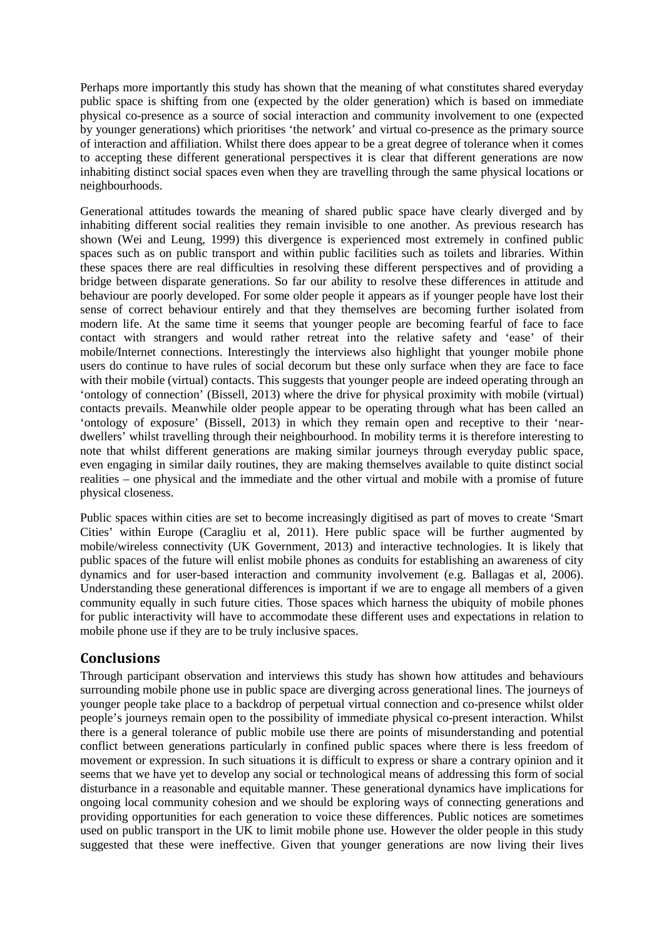Perhaps more importantly this study has shown that the meaning of what constitutes shared everyday public space is shifting from one (expected by the older generation) which is based on immediate physical co-presence as a source of social interaction and community involvement to one (expected by younger generations) which prioritises 'the network' and virtual co-presence as the primary source of interaction and affiliation. Whilst there does appear to be a great degree of tolerance when it comes to accepting these different generational perspectives it is clear that different generations are now inhabiting distinct social spaces even when they are travelling through the same physical locations or neighbourhoods.

Generational attitudes towards the meaning of shared public space have clearly diverged and by inhabiting different social realities they remain invisible to one another. As previous research has shown (Wei and Leung, 1999) this divergence is experienced most extremely in confined public spaces such as on public transport and within public facilities such as toilets and libraries. Within these spaces there are real difficulties in resolving these different perspectives and of providing a bridge between disparate generations. So far our ability to resolve these differences in attitude and behaviour are poorly developed. For some older people it appears as if younger people have lost their sense of correct behaviour entirely and that they themselves are becoming further isolated from modern life. At the same time it seems that younger people are becoming fearful of face to face contact with strangers and would rather retreat into the relative safety and 'ease' of their mobile/Internet connections. Interestingly the interviews also highlight that younger mobile phone users do continue to have rules of social decorum but these only surface when they are face to face with their mobile (virtual) contacts. This suggests that younger people are indeed operating through an 'ontology of connection' (Bissell, 2013) where the drive for physical proximity with mobile (virtual) contacts prevails. Meanwhile older people appear to be operating through what has been called an 'ontology of exposure' (Bissell, 2013) in which they remain open and receptive to their 'neardwellers' whilst travelling through their neighbourhood. In mobility terms it is therefore interesting to note that whilst different generations are making similar journeys through everyday public space, even engaging in similar daily routines, they are making themselves available to quite distinct social realities – one physical and the immediate and the other virtual and mobile with a promise of future physical closeness.

Public spaces within cities are set to become increasingly digitised as part of moves to create 'Smart Cities' within Europe (Caragliu et al, 2011). Here public space will be further augmented by mobile/wireless connectivity (UK Government, 2013) and interactive technologies. It is likely that public spaces of the future will enlist mobile phones as conduits for establishing an awareness of city dynamics and for user-based interaction and community involvement (e.g. Ballagas et al, 2006). Understanding these generational differences is important if we are to engage all members of a given community equally in such future cities. Those spaces which harness the ubiquity of mobile phones for public interactivity will have to accommodate these different uses and expectations in relation to mobile phone use if they are to be truly inclusive spaces.

#### **Conclusions**

Through participant observation and interviews this study has shown how attitudes and behaviours surrounding mobile phone use in public space are diverging across generational lines. The journeys of younger people take place to a backdrop of perpetual virtual connection and co-presence whilst older people's journeys remain open to the possibility of immediate physical co-present interaction. Whilst there is a general tolerance of public mobile use there are points of misunderstanding and potential conflict between generations particularly in confined public spaces where there is less freedom of movement or expression. In such situations it is difficult to express or share a contrary opinion and it seems that we have yet to develop any social or technological means of addressing this form of social disturbance in a reasonable and equitable manner. These generational dynamics have implications for ongoing local community cohesion and we should be exploring ways of connecting generations and providing opportunities for each generation to voice these differences. Public notices are sometimes used on public transport in the UK to limit mobile phone use. However the older people in this study suggested that these were ineffective. Given that younger generations are now living their lives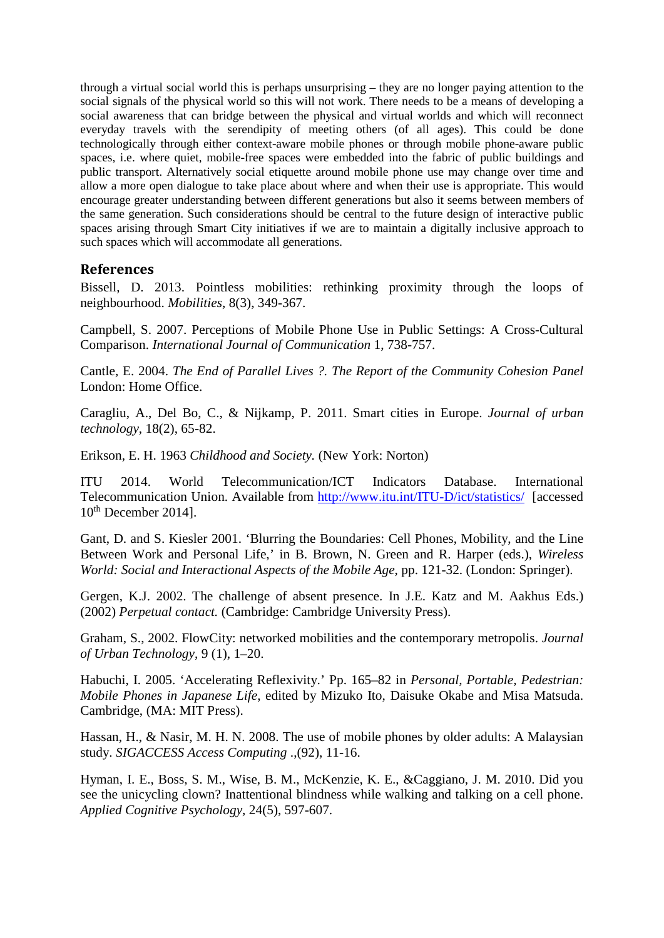through a virtual social world this is perhaps unsurprising – they are no longer paying attention to the social signals of the physical world so this will not work. There needs to be a means of developing a social awareness that can bridge between the physical and virtual worlds and which will reconnect everyday travels with the serendipity of meeting others (of all ages). This could be done technologically through either context-aware mobile phones or through mobile phone-aware public spaces, i.e. where quiet, mobile-free spaces were embedded into the fabric of public buildings and public transport. Alternatively social etiquette around mobile phone use may change over time and allow a more open dialogue to take place about where and when their use is appropriate. This would encourage greater understanding between different generations but also it seems between members of the same generation. Such considerations should be central to the future design of interactive public spaces arising through Smart City initiatives if we are to maintain a digitally inclusive approach to such spaces which will accommodate all generations.

#### **References**

Bissell, D. 2013. Pointless mobilities: rethinking proximity through the loops of neighbourhood. *Mobilities*, 8(3), 349-367.

Campbell, S. 2007. Perceptions of Mobile Phone Use in Public Settings: A Cross-Cultural Comparison. *International Journal of Communication* 1, 738-757.

Cantle, E. 2004. *The End of Parallel Lives ?. The Report of the Community Cohesion Panel*  London: Home Office.

Caragliu, A., Del Bo, C., & Nijkamp, P. 2011. Smart cities in Europe. *Journal of urban technology*, 18(2), 65-82.

Erikson, E. H. 1963 *Childhood and Society.* (New York: Norton)

ITU 2014. World Telecommunication/ICT Indicators Database. International Telecommunication Union. Available from<http://www.itu.int/ITU-D/ict/statistics/>[accessed  $10^{th}$  December 2014].

Gant, D. and S. Kiesler 2001. 'Blurring the Boundaries: Cell Phones, Mobility, and the Line Between Work and Personal Life,' in B. Brown, N. Green and R. Harper (eds.), *Wireless World: Social and Interactional Aspects of the Mobile Age*, pp. 121-32. (London: Springer).

Gergen, K.J. 2002. The challenge of absent presence. In J.E. Katz and M. Aakhus Eds.) (2002) *Perpetual contact.* (Cambridge: Cambridge University Press).

Graham, S., 2002. FlowCity: networked mobilities and the contemporary metropolis. *Journal of Urban Technology*, 9 (1), 1–20.

Habuchi, I. 2005. 'Accelerating Reflexivity.' Pp. 165–82 in *Personal, Portable, Pedestrian: Mobile Phones in Japanese Life*, edited by Mizuko Ito, Daisuke Okabe and Misa Matsuda. Cambridge, (MA: MIT Press).

Hassan, H., & Nasir, M. H. N. 2008. The use of mobile phones by older adults: A Malaysian study. *SIGACCESS Access Computing* .,(92), 11-16.

Hyman, I. E., Boss, S. M., Wise, B. M., McKenzie, K. E., &Caggiano, J. M. 2010. Did you see the unicycling clown? Inattentional blindness while walking and talking on a cell phone. *Applied Cognitive Psychology*, 24(5), 597-607.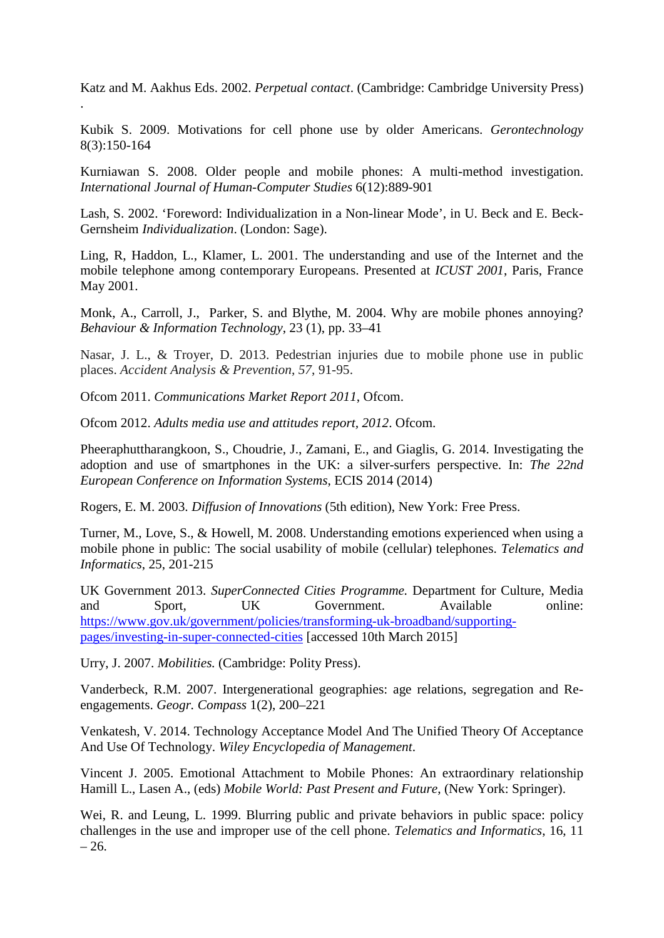Katz and M. Aakhus Eds. 2002. *Perpetual contact*. (Cambridge: Cambridge University Press)

Kubik S. 2009. Motivations for cell phone use by older Americans. *Gerontechnology* 8(3):150-164

Kurniawan S. 2008. Older people and mobile phones: A multi-method investigation. *International Journal of Human-Computer Studies* 6(12):889-901

Lash, S. 2002. 'Foreword: Individualization in a Non-linear Mode', in U. Beck and E. Beck-Gernsheim *Individualization*. (London: Sage).

Ling, R, Haddon, L., Klamer, L. 2001. The understanding and use of the Internet and the mobile telephone among contemporary Europeans. Presented at *ICUST 2001*, Paris, France May 2001.

Monk, A., Carroll, J., Parker, S. and Blythe, M. 2004. Why are mobile phones annoying? *Behaviour & Information Technology*, 23 (1), pp. 33–41

Nasar, J. L., & Troyer, D. 2013. Pedestrian injuries due to mobile phone use in public places. *Accident Analysis & Prevention*, *57*, 91-95.

Ofcom 2011. *Communications Market Report 2011*, Ofcom.

.

Ofcom 2012. *Adults media use and attitudes report, 2012*. Ofcom.

Pheeraphuttharangkoon, S., Choudrie, J., Zamani, E., and Giaglis, G. 2014. Investigating the adoption and use of smartphones in the UK: a silver-surfers perspective. In: *The 22nd European Conference on Information Systems*, ECIS 2014 (2014)

Rogers, E. M. 2003. *Diffusion of Innovations* (5th edition), New York: Free Press.

Turner, M., Love, S., & Howell, M. 2008. Understanding emotions experienced when using a mobile phone in public: The social usability of mobile (cellular) telephones. *Telematics and Informatics*, 25, 201-215

UK Government 2013. *SuperConnected Cities Programme.* Department for Culture, Media and Sport*,* UK Government. Available online: [https://www.gov.uk/government/policies/transforming-uk-broadband/supporting](https://www.gov.uk/government/policies/transforming-uk-broadband/supporting-pages/investing-in-super-connected-cities)[pages/investing-in-super-connected-cities](https://www.gov.uk/government/policies/transforming-uk-broadband/supporting-pages/investing-in-super-connected-cities) [accessed 10th March 2015]

Urry, J. 2007. *Mobilities.* (Cambridge: Polity Press).

Vanderbeck, R.M. 2007. Intergenerational geographies: age relations, segregation and Reengagements. *Geogr. Compass* 1(2), 200–221

Venkatesh, V. 2014. Technology Acceptance Model And The Unified Theory Of Acceptance And Use Of Technology. *Wiley Encyclopedia of Management*.

Vincent J. 2005. Emotional Attachment to Mobile Phones: An extraordinary relationship Hamill L., Lasen A., (eds) *Mobile World: Past Present and Future*, (New York: Springer).

Wei, R. and Leung, L. 1999. Blurring public and private behaviors in public space: policy challenges in the use and improper use of the cell phone. *Telematics and Informatics*, 16, 11  $-26.$